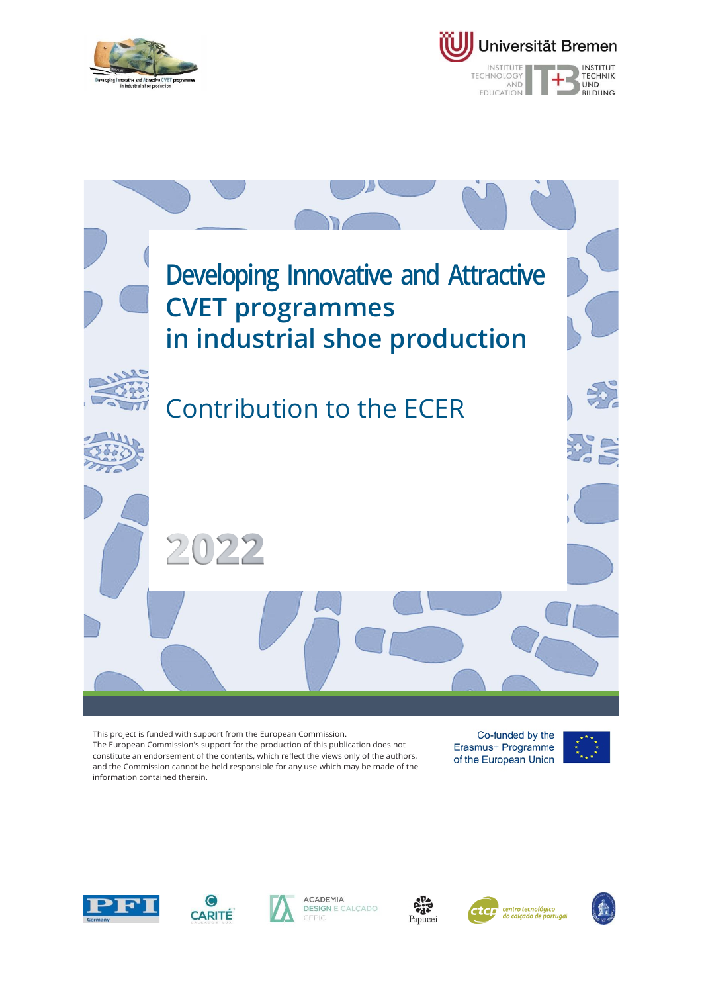





This project is funded with support from the European Commission. The European Commission's support for the production of this publication does not constitute an endorsement of the contents, which reflect the views only of the authors, and the Commission cannot be held responsible for any use which may be made of the information contained therein.

Co-funded by the Erasmus+ Programme of the European Union













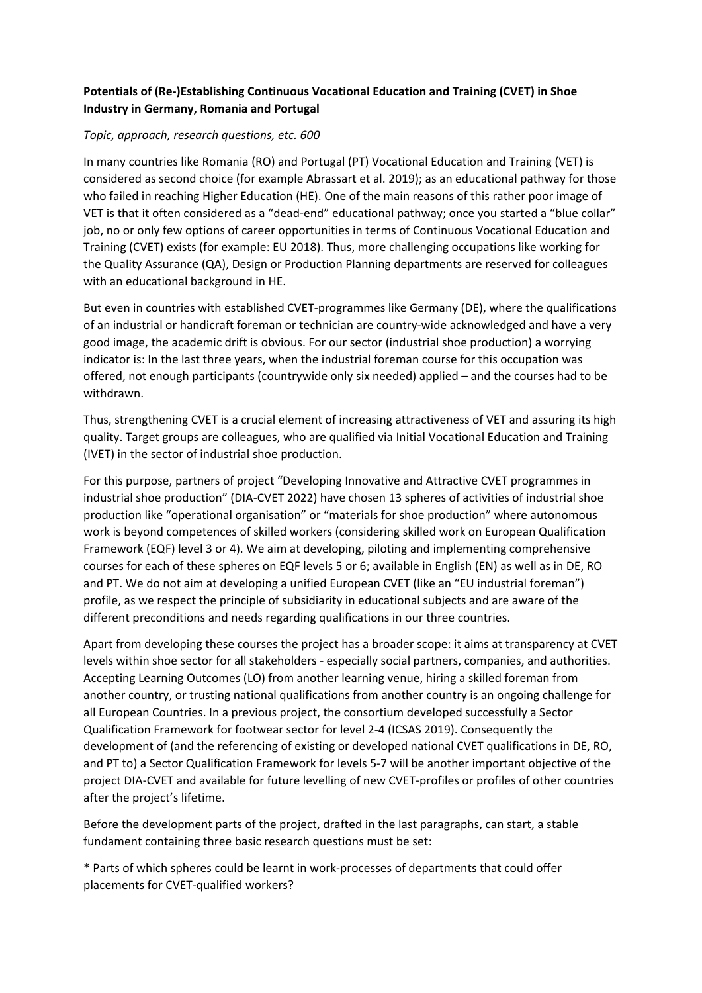# **Potentials of (Re‐)Establishing Continuous Vocational Education and Training (CVET) in Shoe Industry in Germany, Romania and Portugal**

### *Topic, approach, research questions, etc. 600*

In many countries like Romania (RO) and Portugal (PT) Vocational Education and Training (VET) is considered as second choice (for example Abrassart et al. 2019); as an educational pathway for those who failed in reaching Higher Education (HE). One of the main reasons of this rather poor image of VET is that it often considered as a "dead-end" educational pathway; once you started a "blue collar" job, no or only few options of career opportunities in terms of Continuous Vocational Education and Training (CVET) exists (for example: EU 2018). Thus, more challenging occupations like working for the Quality Assurance (QA), Design or Production Planning departments are reserved for colleagues with an educational background in HE.

But even in countries with established CVET-programmes like Germany (DE), where the qualifications of an industrial or handicraft foreman or technician are country‐wide acknowledged and have a very good image, the academic drift is obvious. For our sector (industrial shoe production) a worrying indicator is: In the last three years, when the industrial foreman course for this occupation was offered, not enough participants (countrywide only six needed) applied – and the courses had to be withdrawn.

Thus, strengthening CVET is a crucial element of increasing attractiveness of VET and assuring its high quality. Target groups are colleagues, who are qualified via Initial Vocational Education and Training (IVET) in the sector of industrial shoe production.

For this purpose, partners of project "Developing Innovative and Attractive CVET programmes in industrial shoe production" (DIA‐CVET 2022) have chosen 13 spheres of activities of industrial shoe production like "operational organisation" or "materials for shoe production" where autonomous work is beyond competences of skilled workers (considering skilled work on European Qualification Framework (EQF) level 3 or 4). We aim at developing, piloting and implementing comprehensive courses for each of these spheres on EQF levels 5 or 6; available in English (EN) as well as in DE, RO and PT. We do not aim at developing a unified European CVET (like an "EU industrial foreman") profile, as we respect the principle of subsidiarity in educational subjects and are aware of the different preconditions and needs regarding qualifications in our three countries.

Apart from developing these courses the project has a broader scope: it aims at transparency at CVET levels within shoe sector for all stakeholders ‐ especially social partners, companies, and authorities. Accepting Learning Outcomes (LO) from another learning venue, hiring a skilled foreman from another country, or trusting national qualifications from another country is an ongoing challenge for all European Countries. In a previous project, the consortium developed successfully a Sector Qualification Framework for footwear sector for level 2‐4 (ICSAS 2019). Consequently the development of (and the referencing of existing or developed national CVET qualifications in DE, RO, and PT to) a Sector Qualification Framework for levels 5‐7 will be another important objective of the project DIA‐CVET and available for future levelling of new CVET‐profiles or profiles of other countries after the project's lifetime.

Before the development parts of the project, drafted in the last paragraphs, can start, a stable fundament containing three basic research questions must be set:

\* Parts of which spheres could be learnt in work‐processes of departments that could offer placements for CVET‐qualified workers?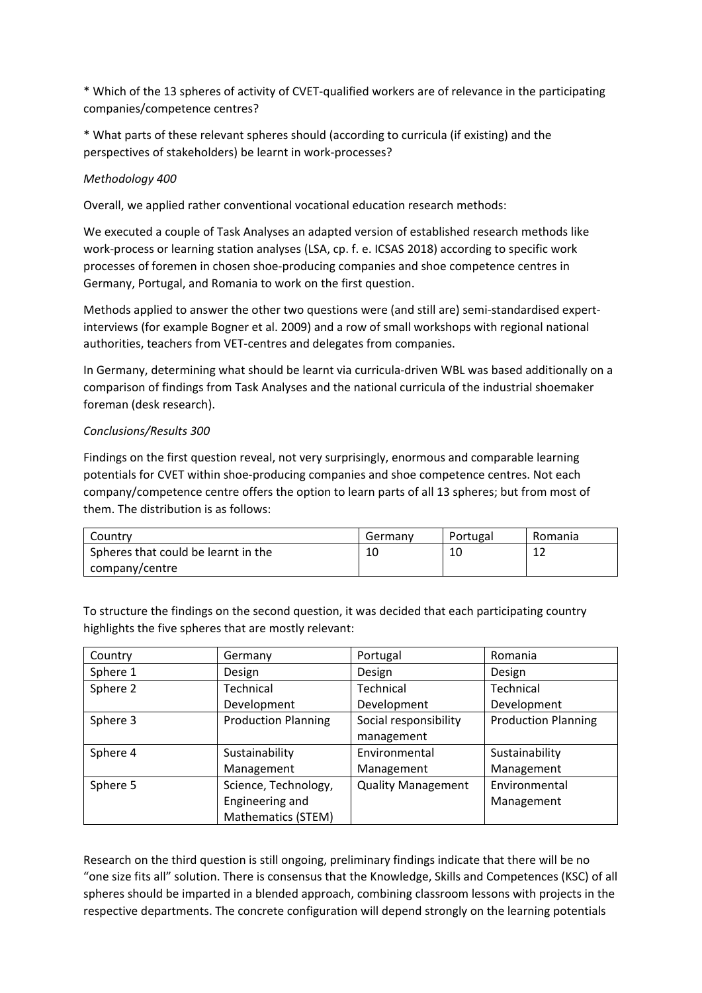\* Which of the 13 spheres of activity of CVET‐qualified workers are of relevance in the participating companies/competence centres?

\* What parts of these relevant spheres should (according to curricula (if existing) and the perspectives of stakeholders) be learnt in work‐processes?

# *Methodology 400*

Overall, we applied rather conventional vocational education research methods:

We executed a couple of Task Analyses an adapted version of established research methods like work‐process or learning station analyses (LSA, cp. f. e. ICSAS 2018) according to specific work processes of foremen in chosen shoe‐producing companies and shoe competence centres in Germany, Portugal, and Romania to work on the first question.

Methods applied to answer the other two questions were (and still are) semi-standardised expertinterviews (for example Bogner et al. 2009) and a row of small workshops with regional national authorities, teachers from VET‐centres and delegates from companies.

In Germany, determining what should be learnt via curricula‐driven WBL was based additionally on a comparison of findings from Task Analyses and the national curricula of the industrial shoemaker foreman (desk research).

### *Conclusions/Results 300*

Findings on the first question reveal, not very surprisingly, enormous and comparable learning potentials for CVET within shoe‐producing companies and shoe competence centres. Not each company/competence centre offers the option to learn parts of all 13 spheres; but from most of them. The distribution is as follows:

| Countrv                             | Germany | Portugal | Romania |
|-------------------------------------|---------|----------|---------|
| Spheres that could be learnt in the | 10      | 10       | ∸       |
| company/centre                      |         |          |         |

To structure the findings on the second question, it was decided that each participating country highlights the five spheres that are mostly relevant:

| Country  | Germany                    | Portugal                  | Romania                    |
|----------|----------------------------|---------------------------|----------------------------|
| Sphere 1 | Design                     | Design                    | Design                     |
| Sphere 2 | Technical                  | Technical                 | Technical                  |
|          | Development                | Development               | Development                |
| Sphere 3 | <b>Production Planning</b> | Social responsibility     | <b>Production Planning</b> |
|          |                            | management                |                            |
| Sphere 4 | Sustainability             | Environmental             | Sustainability             |
|          | Management                 | Management                | Management                 |
| Sphere 5 | Science, Technology,       | <b>Quality Management</b> | Environmental              |
|          | Engineering and            |                           | Management                 |
|          | Mathematics (STEM)         |                           |                            |

Research on the third question is still ongoing, preliminary findings indicate that there will be no "one size fits all" solution. There is consensus that the Knowledge, Skills and Competences (KSC) of all spheres should be imparted in a blended approach, combining classroom lessons with projects in the respective departments. The concrete configuration will depend strongly on the learning potentials